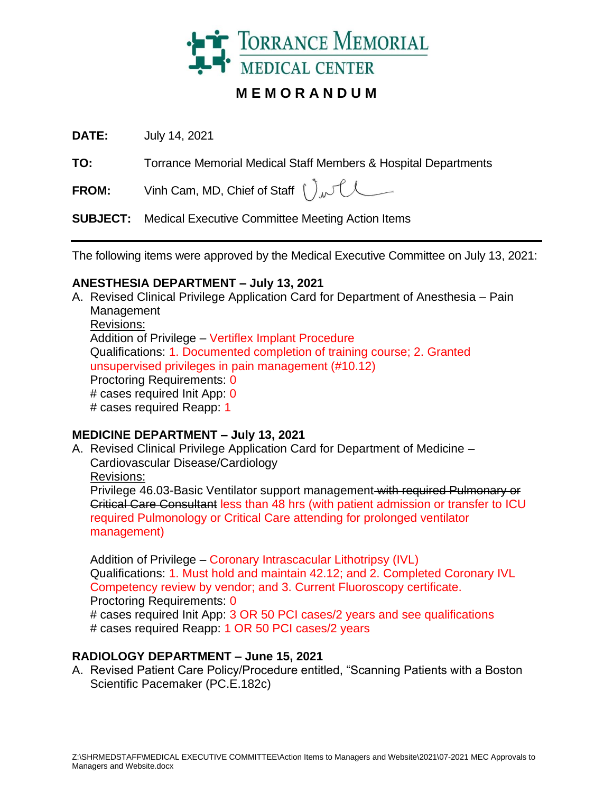

# **M E M O R A N D U M**

**DATE:** July 14, 2021

**TO:** Torrance Memorial Medical Staff Members & Hospital Departments

**FROM:** Vinh Cam, MD, Chief of Staff  $\int_{\mathcal{M}} \int_{\mathcal{M}}$ 

**SUBJECT:** Medical Executive Committee Meeting Action Items

The following items were approved by the Medical Executive Committee on July 13, 2021:

### **ANESTHESIA DEPARTMENT – July 13, 2021**

A. Revised Clinical Privilege Application Card for Department of Anesthesia – Pain Management Revisions: Addition of Privilege – Vertiflex Implant Procedure Qualifications: 1. Documented completion of training course; 2. Granted unsupervised privileges in pain management (#10.12) Proctoring Requirements: 0 # cases required Init App: 0 # cases required Reapp: 1

# **MEDICINE DEPARTMENT – July 13, 2021**

A. Revised Clinical Privilege Application Card for Department of Medicine – Cardiovascular Disease/Cardiology Revisions: Privilege 46.03-Basic Ventilator support management with required Pulmonary or Critical Care Consultant less than 48 hrs (with patient admission or transfer to ICU required Pulmonology or Critical Care attending for prolonged ventilator management)

Addition of Privilege – Coronary Intrascacular Lithotripsy (IVL) Qualifications: 1. Must hold and maintain 42.12; and 2. Completed Coronary IVL Competency review by vendor; and 3. Current Fluoroscopy certificate. Proctoring Requirements: 0 # cases required Init App: 3 OR 50 PCI cases/2 years and see qualifications # cases required Reapp: 1 OR 50 PCI cases/2 years

# **RADIOLOGY DEPARTMENT – June 15, 2021**

A. Revised Patient Care Policy/Procedure entitled, "Scanning Patients with a Boston Scientific Pacemaker (PC.E.182c)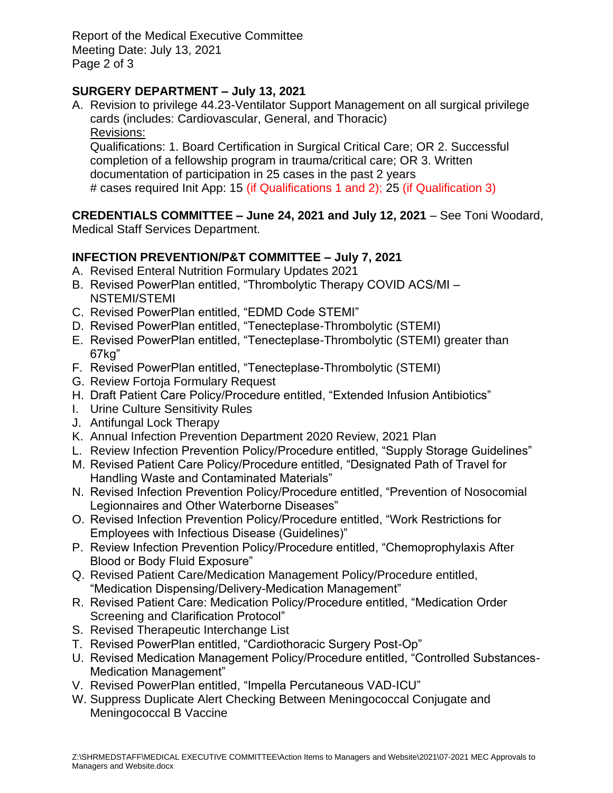Report of the Medical Executive Committee Meeting Date: July 13, 2021 Page 2 of 3

# **SURGERY DEPARTMENT – July 13, 2021**

A. Revision to privilege 44.23-Ventilator Support Management on all surgical privilege cards (includes: Cardiovascular, General, and Thoracic) Revisions:

Qualifications: 1. Board Certification in Surgical Critical Care; OR 2. Successful completion of a fellowship program in trauma/critical care; OR 3. Written documentation of participation in 25 cases in the past 2 years # cases required Init App: 15 (if Qualifications 1 and 2); 25 (if Qualification 3)

**CREDENTIALS COMMITTEE – June 24, 2021 and July 12, 2021** – See Toni Woodard, Medical Staff Services Department.

### **INFECTION PREVENTION/P&T COMMITTEE – July 7, 2021**

- A. Revised Enteral Nutrition Formulary Updates 2021
- B. Revised PowerPlan entitled, "Thrombolytic Therapy COVID ACS/MI NSTEMI/STEMI
- C. Revised PowerPlan entitled, "EDMD Code STEMI"
- D. Revised PowerPlan entitled, "Tenecteplase-Thrombolytic (STEMI)
- E. Revised PowerPlan entitled, "Tenecteplase-Thrombolytic (STEMI) greater than 67kg"
- F. Revised PowerPlan entitled, "Tenecteplase-Thrombolytic (STEMI)
- G. Review Fortoja Formulary Request
- H. Draft Patient Care Policy/Procedure entitled, "Extended Infusion Antibiotics"
- I. Urine Culture Sensitivity Rules
- J. Antifungal Lock Therapy
- K. Annual Infection Prevention Department 2020 Review, 2021 Plan
- L. Review Infection Prevention Policy/Procedure entitled, "Supply Storage Guidelines"
- M. Revised Patient Care Policy/Procedure entitled, "Designated Path of Travel for Handling Waste and Contaminated Materials"
- N. Revised Infection Prevention Policy/Procedure entitled, "Prevention of Nosocomial Legionnaires and Other Waterborne Diseases"
- O. Revised Infection Prevention Policy/Procedure entitled, "Work Restrictions for Employees with Infectious Disease (Guidelines)"
- P. Review Infection Prevention Policy/Procedure entitled, "Chemoprophylaxis After Blood or Body Fluid Exposure"
- Q. Revised Patient Care/Medication Management Policy/Procedure entitled, "Medication Dispensing/Delivery-Medication Management"
- R. Revised Patient Care: Medication Policy/Procedure entitled, "Medication Order Screening and Clarification Protocol"
- S. Revised Therapeutic Interchange List
- T. Revised PowerPlan entitled, "Cardiothoracic Surgery Post-Op"
- U. Revised Medication Management Policy/Procedure entitled, "Controlled Substances-Medication Management"
- V. Revised PowerPlan entitled, "Impella Percutaneous VAD-ICU"
- W. Suppress Duplicate Alert Checking Between Meningococcal Conjugate and Meningococcal B Vaccine